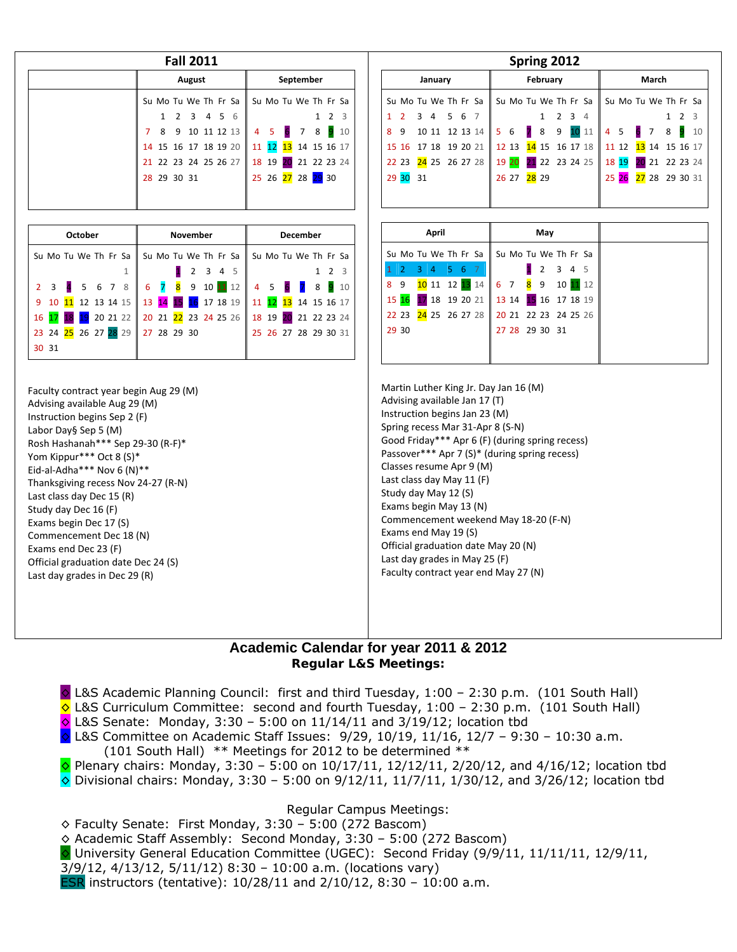| August               | September                                   |
|----------------------|---------------------------------------------|
|                      | Su Mo Tu We Th Fr Sa   Su Mo Tu We Th Fr Sa |
| 1 2 3 4 5 6          | - 3<br>1 2                                  |
| 7 8 9 10 11 12 13    | 4 5 6 7 8 9 10                              |
|                      | 14 15 16 17 18 19 20 11 12 13 14 15 16 17   |
| 21 22 23 24 25 26 27 | 18 19 20 21 22 23 24                        |
| 28 29 30 31          | 25 26 27 28 29 30                           |
|                      |                                             |
|                      |                                             |

|       | <b>October</b> |  |                                                                      | <b>November</b> |           |  |  |  | <b>December</b>      |             |  |
|-------|----------------|--|----------------------------------------------------------------------|-----------------|-----------|--|--|--|----------------------|-------------|--|
|       |                |  | Su Mo Tu We Th Fr Sa    Su Mo Tu We Th Fr Sa    Su Mo Tu We Th Fr Sa |                 |           |  |  |  |                      |             |  |
|       |                |  |                                                                      |                 | 1 2 3 4 5 |  |  |  |                      | $1 \t2 \t3$ |  |
|       |                |  | 2 3 4 5 6 7 8 6 7 8 9 10 11 12                                       |                 |           |  |  |  | 4 5 6 7 8 9 10       |             |  |
|       |                |  | 9 10 11 12 13 14 15 13 14 15 16 17 18 19 11 12 13 14 15 16 17        |                 |           |  |  |  |                      |             |  |
|       |                |  | 16 17 18 19 20 21 22 20 21 22 23 24 25 26 18 19 20 21 22 23 24       |                 |           |  |  |  |                      |             |  |
|       |                |  | 23 24 25 26 27 28 29 27 28 29 30                                     |                 |           |  |  |  | 25 26 27 28 29 30 31 |             |  |
| 30 31 |                |  |                                                                      |                 |           |  |  |  |                      |             |  |

Faculty contract year begin Aug 29 (M) Advising available Aug 29 (M) Instruction begins Sep 2 (F) Labor Day§ Sep 5 (M) Rosh Hashanah\*\*\* Sep 29‐30 (R‐F)\* Yom Kippur\*\*\* Oct 8 (S)\* Eid‐al‐Adha\*\*\* Nov 6 (N)\*\* Thanksgiving recess Nov 24‐27 (R‐N) Last class day Dec 15 (R) Study day Dec 16 (F) Exams begin Dec 17 (S) Commencement Dec 18 (N) Exams end Dec 23 (F) Official graduation date Dec 24 (S) Last day grades in Dec 29 (R)

|         |                      |  |                |  |       |  |                |                      |                  | Spring 2012    |             |  |       |   |                 |                |                      |           |             |    |  |
|---------|----------------------|--|----------------|--|-------|--|----------------|----------------------|------------------|----------------|-------------|--|-------|---|-----------------|----------------|----------------------|-----------|-------------|----|--|
| January |                      |  |                |  |       |  |                |                      |                  | February       |             |  | March |   |                 |                |                      |           |             |    |  |
|         | Su Mo Tu We Th Fr Sa |  |                |  |       |  |                | Su Mo Tu We Th Fr Sa |                  |                |             |  |       |   |                 |                | Su Mo Tu We Th Fr Sa |           |             |    |  |
|         | $2 \quad 3 \quad 4$  |  |                |  | 5 6 7 |  |                |                      |                  |                | $2 \t3 \t4$ |  |       |   |                 |                |                      |           | $1 \t2 \t3$ |    |  |
| 8       | 9                    |  | 10 11 12 13 14 |  |       |  | $\overline{5}$ | 6                    | $\overline{7}$ 8 |                | 9           |  | 10 11 | 4 | $5\overline{5}$ | 6 <sup>7</sup> |                      | $8 \cdot$ |             | 10 |  |
|         | 15 16 17 18 19 20 21 |  |                |  |       |  |                | 12 13 14 15 16 17 18 |                  |                |             |  |       |   | 11 12           |                | 13 14 15 16 17       |           |             |    |  |
|         | 22 23 24 25 26 27 28 |  |                |  |       |  |                | 19 20                |                  | 21 22 23 24 25 |             |  |       |   | 18 19           |                | 20 21 22 23 24       |           |             |    |  |
| 29      | 30 31                |  |                |  |       |  |                | 26 27                | <b>28</b> 29     |                |             |  |       |   | $25\,26$        |                | 27 28 29 30 31       |           |             |    |  |
|         |                      |  |                |  |       |  |                |                      |                  |                |             |  |       |   |                 |                |                      |           |             |    |  |

|             |                      |            | April |     |  |                                           |  | May            |       |        |
|-------------|----------------------|------------|-------|-----|--|-------------------------------------------|--|----------------|-------|--------|
|             | Su Mo Tu We Th Fr Sa |            |       |     |  | Su Mo Tu We Th Fr Sa                      |  |                |       |        |
| $1 \vert 2$ |                      | $3 \mid 4$ |       | 567 |  |                                           |  | $\overline{2}$ | 3 4 5 |        |
| 8 9         |                      |            |       |     |  |                                           |  |                |       | 101112 |
|             |                      |            |       |     |  | 15 16 17 18 19 20 21 13 14 15 16 17 18 19 |  |                |       |        |
|             |                      |            |       |     |  | 22 23 24 25 26 27 28 20 21 22 23 24 25 26 |  |                |       |        |
|             | 29 30                |            |       |     |  |                                           |  | 27 28 29 30 31 |       |        |
|             |                      |            |       |     |  |                                           |  |                |       |        |
|             |                      |            |       |     |  |                                           |  |                |       |        |

Martin Luther King Jr. Day Jan 16 (M) Advising available Jan 17 (T) Instruction begins Jan 23 (M) Spring recess Mar 31‐Apr 8 (S‐N) Good Friday\*\*\* Apr 6 (F) (during spring recess) Passover\*\*\* Apr 7 (S)\* (during spring recess) Classes resume Apr 9 (M) Last class day May 11 (F) Study day May 12 (S) Exams begin May 13 (N) Commencement weekend May 18‐20 (F‐N) Exams end May 19 (S) Official graduation date May 20 (N) Last day grades in May 25 (F) Faculty contract year end May 27 (N)

## **Academic Calendar for year 2011 & 2012 Regular L&S Meetings:**

◊ L&S Academic Planning Council: first and third Tuesday, 1:00 – 2:30 p.m. (101 South Hall)

- $\Diamond$  L&S Curriculum Committee: second and fourth Tuesday, 1:00 2:30 p.m. (101 South Hall)
- $\circ$  L&S Senate: Monday, 3:30 5:00 on 11/14/11 and 3/19/12; location tbd
- ◊ L&S Committee on Academic Staff Issues: 9/29, 10/19, 11/16, 12/7 9:30 10:30 a.m.
- (101 South Hall) \*\* Meetings for 2012 to be determined \*\*
- $\circ$  Plenary chairs: Monday, 3:30 5:00 on 10/17/11, 12/12/11, 2/20/12, and 4/16/12; location tbd  $\Diamond$  Divisional chairs: Monday, 3:30 – 5:00 on 9/12/11, 11/7/11, 1/30/12, and 3/26/12; location tbd

## Regular Campus Meetings:

 $\diamond$  Faculty Senate: First Monday, 3:30 - 5:00 (272 Bascom)

- ◊ Academic Staff Assembly: Second Monday, 3:30 5:00 (272 Bascom)
- ◊ University General Education Committee (UGEC): Second Friday (9/9/11, 11/11/11, 12/9/11,
- 3/9/12, 4/13/12, 5/11/12) 8:30 10:00 a.m. (locations vary)
- ESR instructors (tentative): 10/28/11 and 2/10/12, 8:30 10:00 a.m.